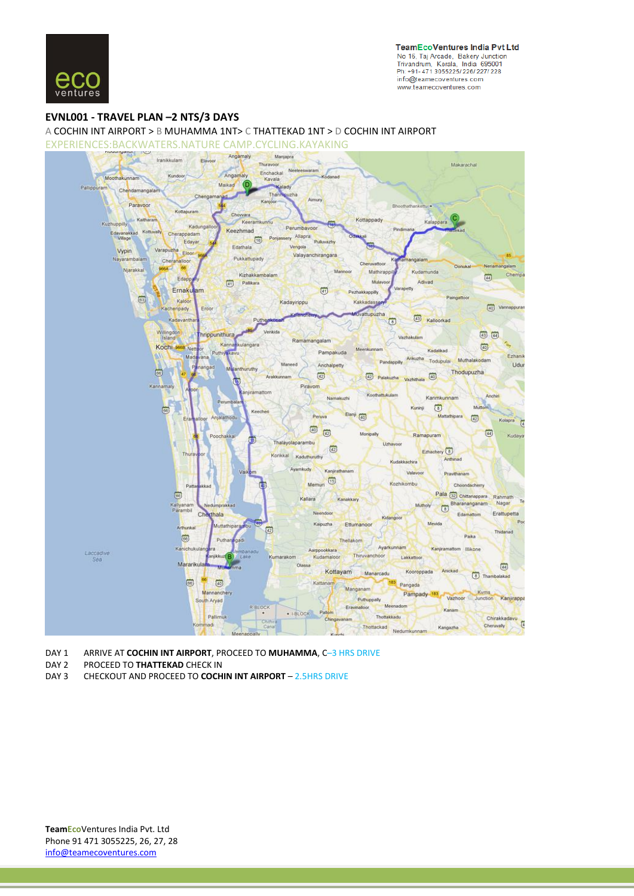

## **EVNL001 - [TRAVEL](http://ad.doubleclick.net/jump/makemytrip/domflights;pos=eticketfooter;sz=728x90;ord=123456789?) PLAN –2 NTS/3 DAYS**

A COCHIN INT AIRPORT > B MUHAMMA 1NT> C THATTEKAD 1NT > D COCHIN INT AIRPORT

EXPERIENCES:BACKWATERS.NATURE CAMP.CYCLING.KAYAKING



DAY 1 ARRIVE AT **COCHIN INT AIRPORT**, PROCEED TO **MUHAMMA**, C–3 HRS DRIVE

DAY 2 PROCEED TO **THATTEKAD** CHECK IN

DAY 3 CHECKOUT AND PROCEED TO **COCHIN INT AIRPORT** – 2.5HRS DRIVE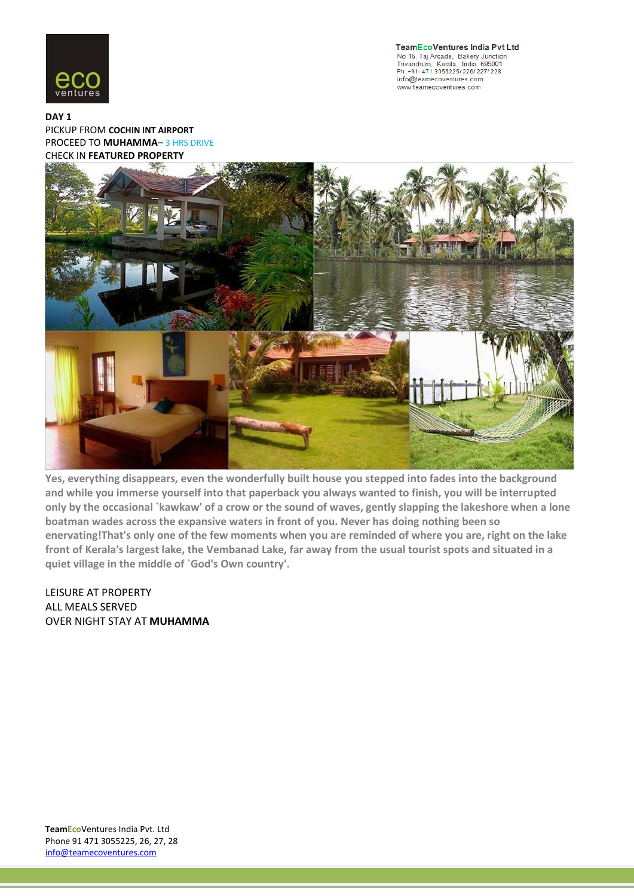

**TeamEcoVentures India Pvt Ltd** No 16, Taj Arcade, Bakery Junction<br>Trivandrum, Kerala, India 695001 Ph: +91- 471 3055225/ 226/ 227/ 228 info@teamecoventures.com www.teamecoventures.com

**[DAY 1](http://ad.doubleclick.net/jump/makemytrip/domflights;pos=eticketfooter;sz=728x90;ord=123456789?)** [PICKUP FROM](http://ad.doubleclick.net/jump/makemytrip/domflights;pos=eticketfooter;sz=728x90;ord=123456789?) **COCHIN INT AIRPORT** [PROCEED TO](http://ad.doubleclick.net/jump/makemytrip/domflights;pos=eticketfooter;sz=728x90;ord=123456789?) **MUHAMMA**– 3 HRS DRIVE [CHECK IN](http://ad.doubleclick.net/jump/makemytrip/domflights;pos=eticketfooter;sz=728x90;ord=123456789?) **FEATURED PROPERTY**



**Yes, everything disappears, even the wonderfully built house you stepped into fades into the background and while you immerse yourself into that paperback you always wanted to finish, you will be interrupted only by the occasional `kawkaw' of a crow or the sound of waves, gently slapping the lakeshore when a lone boatman wades across the expansive waters in front of you. Never has doing nothing been so enervating!That's only one of the few moments when you are reminded of where you are, right on the lake front of Kerala's largest lake, the Vembanad Lake, far away from the usual tourist spots and situated in a quiet village in the middle of `God's Own country'.**

LEISURE AT PROPERTY ALL MEALS SERVED OVER NIGHT STAY AT **MUHAMMA**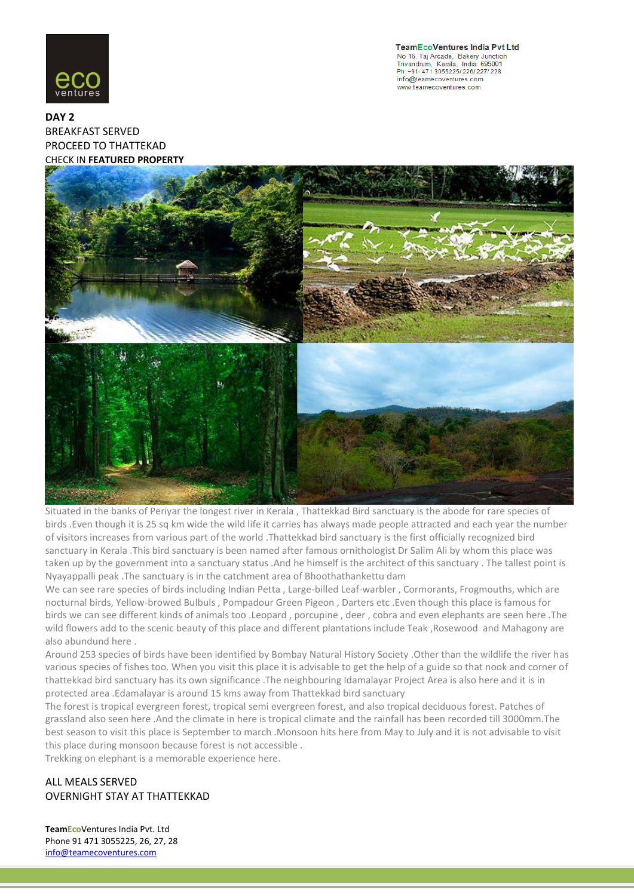

**TeamEcoVentures India Pvt Ltd** No 16, Taj Arcade, Bakery Junction<br>Trivandrum, Kerala, India 695001 Ph: +91-471 3055225/226/227/228 info@teamecoventures.com www.teamecoventures.com

**DAY 2** [BREAKFAST SERVED](http://ad.doubleclick.net/jump/makemytrip/domflights;pos=eticketfooter;sz=728x90;ord=123456789?) PROCEED TO THATTEKAD CHECK IN **FEATURED PROPERTY**



Situated in the banks of Periyar the longest river in Kerala , Thattekkad Bird sanctuary is the abode for rare species of birds .Even though it is 25 sq km wide the wild life it carries has always made people attracted and each year the number of visitors increases from various part of the world .Thattekkad bird sanctuary is the first officially recognized bird sanctuary in Kerala .This bird sanctuary is been named after famous ornithologist Dr Salim Ali by whom this place was taken up by the government into a sanctuary status .And he himself is the architect of this sanctuary . The tallest point is Nyayappalli peak .The sanctuary is in the catchment area of Bhoothathankettu dam

We can see rare species of birds including Indian Petta , Large-billed Leaf-warbler , Cormorants, Frogmouths, which are nocturnal birds, Yellow-browed Bulbuls , Pompadour Green Pigeon , Darters etc .Even though this place is famous for birds we can see different kinds of animals too .Leopard , porcupine , deer , cobra and even elephants are seen here .The wild flowers add to the scenic beauty of this place and different plantations include Teak ,Rosewood and Mahagony are also abundund here .

Around 253 species of birds have been identified by Bombay Natural History Society .Other than the wildlife the river has various species of fishes too. When you visit this place it is advisable to get the help of a guide so that nook and corner of thattekkad bird sanctuary has its own significance .The neighbouring Idamalayar Project Area is also here and it is in protected area .Edamalayar is around 15 kms away from Thattekkad bird sanctuary

The forest is tropical evergreen forest, tropical semi evergreen forest, and also tropical deciduous forest. Patches of grassland also seen here .And the climate in here is tropical climate and the rainfall has been recorded till 3000mm.The best season to visit this place is September to march .Monsoon hits here from May to July and it is not advisable to visit this place during monsoon because forest is not accessible .

Trekking on elephant is a memorable experience here.

ALL MEALS SERVED OVERNIGHT STAY AT THATTEKKAD

**TeamEco**Ventures India Pvt. Ltd Phone 91 471 3055225, 26, 27, 28 info@teamecoventures.com